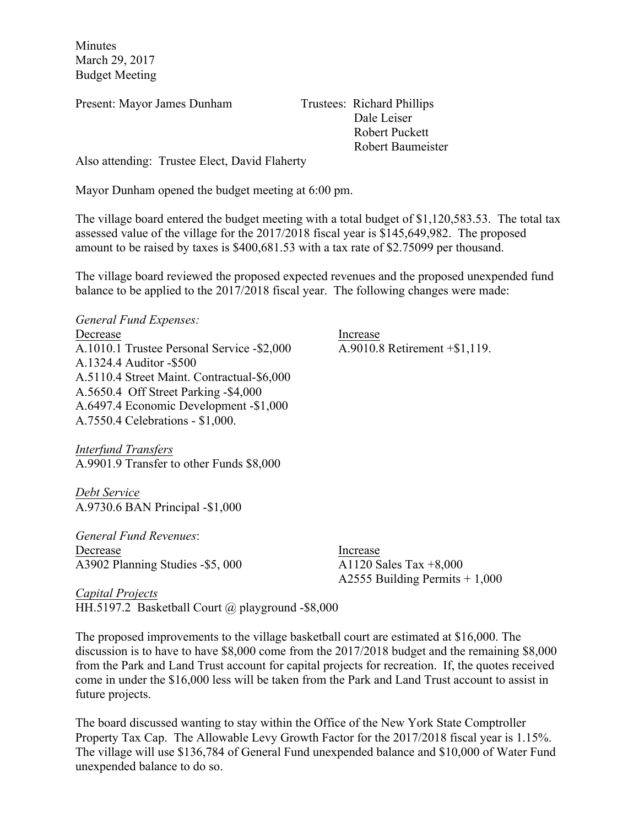Minutes March 29, 2017 Budget Meeting

Present: Mayor James Dunham Trustees: Richard Phillips

 Dale Leiser Robert Puckett Robert Baumeister

Also attending: Trustee Elect, David Flaherty

Mayor Dunham opened the budget meeting at 6:00 pm.

The village board entered the budget meeting with a total budget of \$1,120,583.53. The total tax assessed value of the village for the 2017/2018 fiscal year is \$145,649,982. The proposed amount to be raised by taxes is \$400,681.53 with a tax rate of \$2.75099 per thousand.

The village board reviewed the proposed expected revenues and the proposed unexpended fund balance to be applied to the 2017/2018 fiscal year. The following changes were made:

*General Fund Expenses:* Decrease Increase A.1010.1 Trustee Personal Service -\$2,000 A.9010.8 Retirement +\$1,119. A.1324.4 Auditor -\$500 A.5110.4 Street Maint. Contractual-\$6,000 A.5650.4 Off Street Parking -\$4,000 A.6497.4 Economic Development -\$1,000 A.7550.4 Celebrations - \$1,000.

*Interfund Transfers* A.9901.9 Transfer to other Funds \$8,000

*Debt Service*  A.9730.6 BAN Principal -\$1,000

*General Fund Revenues*: Decrease Increase A3902 Planning Studies -\$5, 000 A1120 Sales Tax +8,000

A2555 Building Permits + 1,000

*Capital Projects*  HH.5197.2 Basketball Court  $\omega$  playground -\$8,000

The proposed improvements to the village basketball court are estimated at \$16,000. The discussion is to have to have \$8,000 come from the 2017/2018 budget and the remaining \$8,000 from the Park and Land Trust account for capital projects for recreation. If, the quotes received come in under the \$16,000 less will be taken from the Park and Land Trust account to assist in future projects.

The board discussed wanting to stay within the Office of the New York State Comptroller Property Tax Cap. The Allowable Levy Growth Factor for the 2017/2018 fiscal year is 1.15%. The village will use \$136,784 of General Fund unexpended balance and \$10,000 of Water Fund unexpended balance to do so.